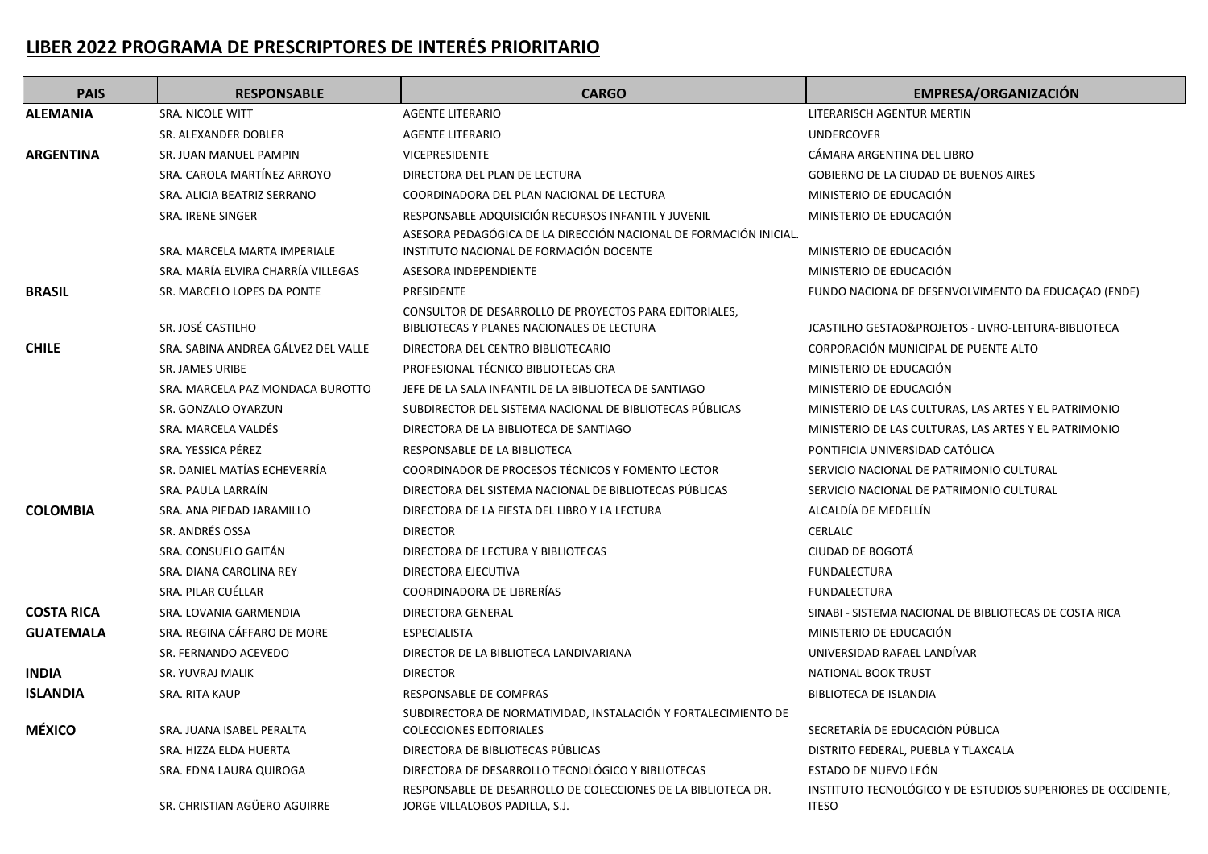## **LIBER 2022 PROGRAMA DE PRESCRIPTORES DE INTERÉS PRIORITARIO**

| <b>PAIS</b>       | <b>RESPONSABLE</b>                  | <b>CARGO</b>                                                                                         | <b>EMPRESA/ORGANIZACIÓN</b>                                                  |
|-------------------|-------------------------------------|------------------------------------------------------------------------------------------------------|------------------------------------------------------------------------------|
| <b>ALEMANIA</b>   | <b>SRA. NICOLE WITT</b>             | <b>AGENTE LITERARIO</b>                                                                              | LITERARISCH AGENTUR MERTIN                                                   |
|                   | SR. ALEXANDER DOBLER                | <b>AGENTE LITERARIO</b>                                                                              | <b>UNDERCOVER</b>                                                            |
| <b>ARGENTINA</b>  | SR. JUAN MANUEL PAMPIN              | <b>VICEPRESIDENTE</b>                                                                                | CÁMARA ARGENTINA DEL LIBRO                                                   |
|                   | SRA. CAROLA MARTÍNEZ ARROYO         | DIRECTORA DEL PLAN DE LECTURA                                                                        | GOBIERNO DE LA CIUDAD DE BUENOS AIRES                                        |
|                   | SRA. ALICIA BEATRIZ SERRANO         | COORDINADORA DEL PLAN NACIONAL DE LECTURA                                                            | MINISTERIO DE EDUCACIÓN                                                      |
|                   | SRA. IRENE SINGER                   | RESPONSABLE ADQUISICIÓN RECURSOS INFANTIL Y JUVENIL                                                  | MINISTERIO DE EDUCACIÓN                                                      |
|                   |                                     | ASESORA PEDAGÓGICA DE LA DIRECCIÓN NACIONAL DE FORMACIÓN INICIAL.                                    |                                                                              |
|                   | SRA. MARCELA MARTA IMPERIALE        | INSTITUTO NACIONAL DE FORMACIÓN DOCENTE                                                              | MINISTERIO DE EDUCACIÓN                                                      |
|                   | SRA. MARÍA ELVIRA CHARRÍA VILLEGAS  | ASESORA INDEPENDIENTE                                                                                | MINISTERIO DE EDUCACIÓN                                                      |
| <b>BRASIL</b>     | SR. MARCELO LOPES DA PONTE          | <b>PRESIDENTE</b>                                                                                    | FUNDO NACIONA DE DESENVOLVIMENTO DA EDUCAÇÃO (FNDE)                          |
|                   | SR. JOSÉ CASTILHO                   | CONSULTOR DE DESARROLLO DE PROYECTOS PARA EDITORIALES,<br>BIBLIOTECAS Y PLANES NACIONALES DE LECTURA | JCASTILHO GESTAO&PROJETOS - LIVRO-LEITURA-BIBLIOTECA                         |
| <b>CHILE</b>      | SRA. SABINA ANDREA GÁLVEZ DEL VALLE | DIRECTORA DEL CENTRO BIBLIOTECARIO                                                                   | CORPORACIÓN MUNICIPAL DE PUENTE ALTO                                         |
|                   | <b>SR. JAMES URIBE</b>              | PROFESIONAL TÉCNICO BIBLIOTECAS CRA                                                                  | MINISTERIO DE EDUCACIÓN                                                      |
|                   | SRA. MARCELA PAZ MONDACA BUROTTO    | JEFE DE LA SALA INFANTIL DE LA BIBLIOTECA DE SANTIAGO                                                | MINISTERIO DE EDUCACIÓN                                                      |
|                   | SR. GONZALO OYARZUN                 | SUBDIRECTOR DEL SISTEMA NACIONAL DE BIBLIOTECAS PÚBLICAS                                             | MINISTERIO DE LAS CULTURAS, LAS ARTES Y EL PATRIMONIO                        |
|                   | SRA. MARCELA VALDÉS                 | DIRECTORA DE LA BIBLIOTECA DE SANTIAGO                                                               | MINISTERIO DE LAS CULTURAS, LAS ARTES Y EL PATRIMONIO                        |
|                   | SRA. YESSICA PÉREZ                  | RESPONSABLE DE LA BIBLIOTECA                                                                         | PONTIFICIA UNIVERSIDAD CATÓLICA                                              |
|                   | SR. DANIEL MATÍAS ECHEVERRÍA        | COORDINADOR DE PROCESOS TÉCNICOS Y FOMENTO LECTOR                                                    | SERVICIO NACIONAL DE PATRIMONIO CULTURAL                                     |
|                   | SRA. PAULA LARRAÍN                  | DIRECTORA DEL SISTEMA NACIONAL DE BIBLIOTECAS PÚBLICAS                                               | SERVICIO NACIONAL DE PATRIMONIO CULTURAL                                     |
| <b>COLOMBIA</b>   | SRA. ANA PIEDAD JARAMILLO           | DIRECTORA DE LA FIESTA DEL LIBRO Y LA LECTURA                                                        | ALCALDÍA DE MEDELLÍN                                                         |
|                   | SR. ANDRÉS OSSA                     | <b>DIRECTOR</b>                                                                                      | CERLALC                                                                      |
|                   | SRA. CONSUELO GAITÁN                | DIRECTORA DE LECTURA Y BIBLIOTECAS                                                                   | CIUDAD DE BOGOTÁ                                                             |
|                   | SRA. DIANA CAROLINA REY             | DIRECTORA EJECUTIVA                                                                                  | <b>FUNDALECTURA</b>                                                          |
|                   | SRA. PILAR CUÉLLAR                  | COORDINADORA DE LIBRERÍAS                                                                            | <b>FUNDALECTURA</b>                                                          |
| <b>COSTA RICA</b> | SRA. LOVANIA GARMENDIA              | DIRECTORA GENERAL                                                                                    | SINABI - SISTEMA NACIONAL DE BIBLIOTECAS DE COSTA RICA                       |
| <b>GUATEMALA</b>  | SRA. REGINA CÁFFARO DE MORE         | <b>ESPECIALISTA</b>                                                                                  | MINISTERIO DE EDUCACIÓN                                                      |
|                   | SR. FERNANDO ACEVEDO                | DIRECTOR DE LA BIBLIOTECA LANDIVARIANA                                                               | UNIVERSIDAD RAFAEL LANDIVAR                                                  |
| <b>INDIA</b>      | SR. YUVRAJ MALIK                    | <b>DIRECTOR</b>                                                                                      | NATIONAL BOOK TRUST                                                          |
| <b>ISLANDIA</b>   | SRA. RITA KAUP                      | RESPONSABLE DE COMPRAS                                                                               | BIBLIOTECA DE ISLANDIA                                                       |
|                   |                                     | SUBDIRECTORA DE NORMATIVIDAD, INSTALACIÓN Y FORTALECIMIENTO DE                                       |                                                                              |
| <b>MÉXICO</b>     | SRA. JUANA ISABEL PERALTA           | <b>COLECCIONES EDITORIALES</b>                                                                       | SECRETARÍA DE EDUCACIÓN PÚBLICA                                              |
|                   | SRA. HIZZA ELDA HUERTA              | DIRECTORA DE BIBLIOTECAS PÚBLICAS                                                                    | DISTRITO FEDERAL, PUEBLA Y TLAXCALA                                          |
|                   | SRA. EDNA LAURA QUIROGA             | DIRECTORA DE DESARROLLO TECNOLÓGICO Y BIBLIOTECAS                                                    | ESTADO DE NUEVO LEÓN                                                         |
|                   | SR. CHRISTIAN AGÜERO AGUIRRE        | RESPONSABLE DE DESARROLLO DE COLECCIONES DE LA BIBLIOTECA DR.<br>JORGE VILLALOBOS PADILLA, S.J.      | INSTITUTO TECNOLÓGICO Y DE ESTUDIOS SUPERIORES DE OCCIDENTE,<br><b>ITESO</b> |